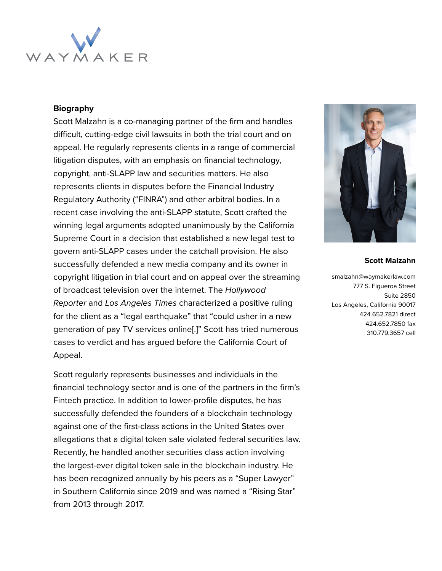

#### **Biography**

Scott Malzahn is a co-managing partner of the firm and handles difficult, cutting-edge civil lawsuits in both the trial court and on appeal. He regularly represents clients in a range of commercial litigation disputes, with an emphasis on financial technology, copyright, anti-SLAPP law and securities matters. He also represents clients in disputes before the Financial Industry Regulatory Authority ("FINRA") and other arbitral bodies. In a recent case involving the anti-SLAPP statute, Scott crafted the winning legal arguments adopted unanimously by the California Supreme Court in a decision that established a new legal test to govern anti-SLAPP cases under the catchall provision. He also successfully defended a new media company and its owner in copyright litigation in trial court and on appeal over the streaming of broadcast television over the internet. The Hollywood Reporter and Los Angeles Times characterized a positive ruling for the client as a "legal earthquake" that "could usher in a new generation of pay TV services online[.]" Scott has tried numerous cases to verdict and has argued before the California Court of Appeal.

Scott regularly represents businesses and individuals in the financial technology sector and is one of the partners in the firm's Fintech practice. In addition to lower-profile disputes, he has successfully defended the founders of a blockchain technology against one of the first-class actions in the United States over allegations that a digital token sale violated federal securities law. Recently, he handled another securities class action involving the largest-ever digital token sale in the blockchain industry. He has been recognized annually by his peers as a "Super Lawyer" in Southern California since 2019 and was named a "Rising Star" from 2013 through 2017.



#### **Scott Malzahn**

smalzahn@waymakerlaw.com 777 S. Figueroa Street Suite 2850 Los Angeles, California 90017 424.652.7821 direct 424.652.7850 fax 310.779.3657 cell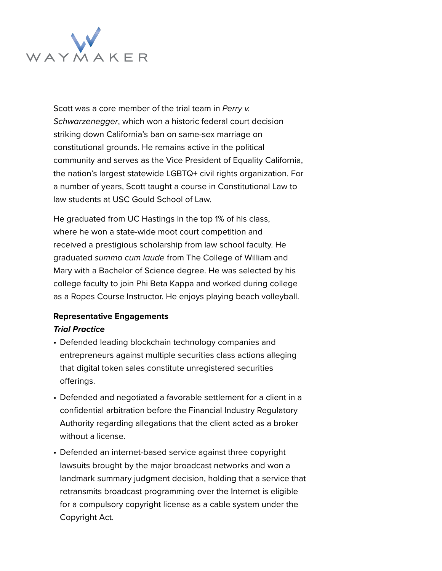

Scott was a core member of the trial team in Perry v. Schwarzenegger, which won a historic federal court decision striking down California's ban on same-sex marriage on constitutional grounds. He remains active in the political community and serves as the Vice President of Equality California, the nation's largest statewide LGBTQ+ civil rights organization. For a number of years, Scott taught a course in Constitutional Law to law students at USC Gould School of Law.

He graduated from UC Hastings in the top 1% of his class, where he won a state-wide moot court competition and received a prestigious scholarship from law school faculty. He graduated summa cum laude from The College of William and Mary with a Bachelor of Science degree. He was selected by his college faculty to join Phi Beta Kappa and worked during college as a Ropes Course Instructor. He enjoys playing beach volleyball.

# **Representative Engagements**

### **Trial Practice**

- Defended leading blockchain technology companies and entrepreneurs against multiple securities class actions alleging that digital token sales constitute unregistered securities offerings.
- Defended and negotiated a favorable settlement for a client in a confidential arbitration before the Financial Industry Regulatory Authority regarding allegations that the client acted as a broker without a license.
- Defended an internet-based service against three copyright lawsuits brought by the major broadcast networks and won a landmark summary judgment decision, holding that a service that retransmits broadcast programming over the Internet is eligible for a compulsory copyright license as a cable system under the Copyright Act.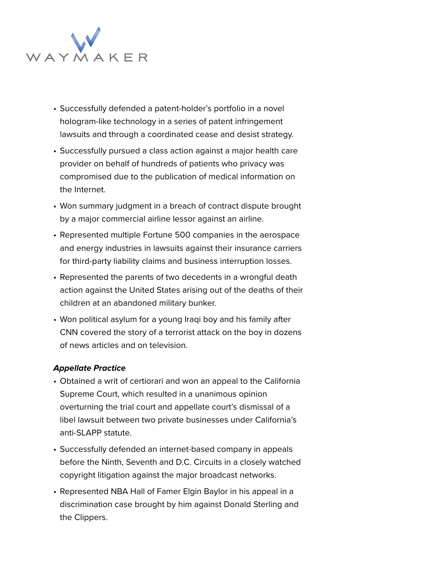

- Successfully defended a patent-holder's portfolio in a novel hologram-like technology in a series of patent infringement lawsuits and through a coordinated cease and desist strategy.
- Successfully pursued a class action against a major health care provider on behalf of hundreds of patients who privacy was compromised due to the publication of medical information on the Internet.
- Won summary judgment in a breach of contract dispute brought by a major commercial airline lessor against an airline.
- Represented multiple Fortune 500 companies in the aerospace and energy industries in lawsuits against their insurance carriers for third-party liability claims and business interruption losses.
- Represented the parents of two decedents in a wrongful death action against the United States arising out of the deaths of their children at an abandoned military bunker.
- Won political asylum for a young Iraqi boy and his family after CNN covered the story of a terrorist attack on the boy in dozens of news articles and on television.

### **Appellate Practice**

- Obtained a writ of certiorari and won an appeal to the California Supreme Court, which resulted in a unanimous opinion overturning the trial court and appellate court's dismissal of a libel lawsuit between two private businesses under California's anti-SLAPP statute.
- Successfully defended an internet-based company in appeals before the Ninth, Seventh and D.C. Circuits in a closely watched copyright litigation against the major broadcast networks.
- Represented NBA Hall of Famer Elgin Baylor in his appeal in a discrimination case brought by him against Donald Sterling and the Clippers.